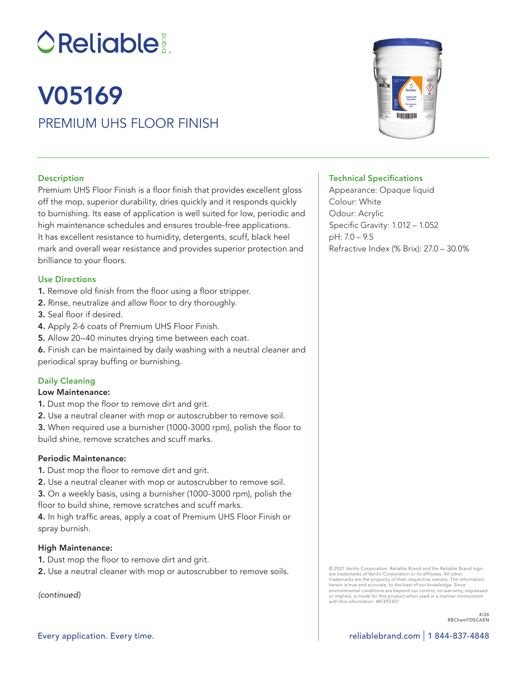# **OReliable:**

### PREMIUM UHS FLOOR FINISH V05169

#### **Description**

Premium UHS Floor Finish is a floor finish that provides excellent gloss off the mop, superior durability, dries quickly and it responds quickly to burnishing. Its ease of application is well suited for low, periodic and high maintenance schedules and ensures trouble-free applications. It has excellent resistance to humidity, detergents, scuff, black heel mark and overall wear resistance and provides superior protection and brilliance to your floors.

#### Use Directions

- 1. Remove old finish from the floor using a floor stripper.
- 2. Rinse, neutralize and allow floor to dry thoroughly.
- 3. Seal floor if desired.
- 4. Apply 2-6 coats of Premium UHS Floor Finish.
- 5. Allow 20–40 minutes drying time between each coat.
- 6. Finish can be maintained by daily washing with a neutral cleaner and periodical spray buffing or burnishing.

#### Daily Cleaning

#### Low Maintenance:

- 1. Dust mop the floor to remove dirt and grit.
- 2. Use a neutral cleaner with mop or autoscrubber to remove soil.

3. When required use a burnisher (1000-3000 rpm), polish the floor to build shine, remove scratches and scuff marks.

#### Periodic Maintenance:

1. Dust mop the floor to remove dirt and grit.

2. Use a neutral cleaner with mop or autoscrubber to remove soil.

3. On a weekly basis, using a burnisher (1000-3000 rpm), polish the floor to build shine, remove scratches and scuff marks.

4. In high traffic areas, apply a coat of Premium UHS Floor Finish or spray burnish.

#### High Maintenance:

1. Dust mop the floor to remove dirt and grit.

2. Use a neutral cleaner with mop or autoscrubber to remove soils.

*(continued)*



#### Technical Specifications

Appearance: Opaque liquid Colour: White Odour: Acrylic Specific Gravity: 1.012 – 1.052 pH: 7.0 – 9.5 Refractive Index (% Brix): 27.0 – 30.0%

© 2021 Veritiv Corporation. Reliable Brand and the Reliable Brand logo<br>are trademarks of Veritiv Corporation or its affiliates. All other<br>trademarks are the property of their respective owners. The information<br>herein is tr environmental conditions are beyond our control, no warranty, expressed or implied, is made for this product when used in a manner inconsistent with this information. WF393307

> 4/26 RBChemTDSCAEN